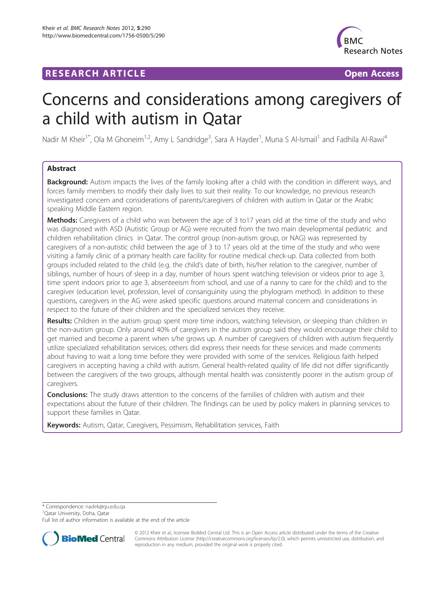# **RESEARCH ARTICLE Example 2018 12:00 Department 2018 12:00 Department 2018 12:00 Department 2018 12:00 Department 2018 12:00 Department 2018 12:00 Department 2018 12:00 Department 2018 12:00 Department 2018 12:00 Departm**



# Concerns and considerations among caregivers of a child with autism in Qatar

Nadir M Kheir<sup>1\*</sup>, Ola M Ghoneim<sup>1,2</sup>, Amy L Sandridge<sup>3</sup>, Sara A Hayder<sup>1</sup>, Muna S Al-Ismail<sup>1</sup> and Fadhila Al-Rawi<sup>4</sup>

# Abstract

**Background:** Autism impacts the lives of the family looking after a child with the condition in different ways, and forces family members to modify their daily lives to suit their reality. To our knowledge, no previous research investigated concern and considerations of parents/caregivers of children with autism in Qatar or the Arabic speaking Middle Eastern region.

Methods: Caregivers of a child who was between the age of 3 to17 years old at the time of the study and who was diagnosed with ASD (Autistic Group or AG) were recruited from the two main developmental pediatric and children rehabilitation clinics in Qatar. The control group (non-autism group, or NAG) was represented by caregivers of a non-autistic child between the age of 3 to 17 years old at the time of the study and who were visiting a family clinic of a primary health care facility for routine medical check-up. Data collected from both groups included related to the child (e.g. the child's date of birth, his/her relation to the caregiver, number of siblings, number of hours of sleep in a day, number of hours spent watching television or videos prior to age 3, time spent indoors prior to age 3, absenteeism from school, and use of a nanny to care for the child) and to the caregiver (education level, profession, level of consanguinity using the phylogram method). In addition to these questions, caregivers in the AG were asked specific questions around maternal concern and considerations in respect to the future of their children and the specialized services they receive.

Results: Children in the autism group spent more time indoors, watching television, or sleeping than children in the non-autism group. Only around 40% of caregivers in the autism group said they would encourage their child to get married and become a parent when s/he grows up. A number of caregivers of children with autism frequently utilize specialized rehabilitation services; others did express their needs for these services and made comments about having to wait a long time before they were provided with some of the services. Religious faith helped caregivers in accepting having a child with autism. General health-related quality of life did not differ significantly between the caregivers of the two groups, although mental health was consistently poorer in the autism group of caregivers.

Conclusions: The study draws attention to the concerns of the families of children with autism and their expectations about the future of their children. The findings can be used by policy makers in planning services to support these families in Qatar.

Keywords: Autism, Qatar, Caregivers, Pessimism, Rehabilitation services, Faith

\* Correspondence: [nadirk@qu.edu.qa](mailto:nadirk@qu.edu.qa)

<sup>1</sup>Qatar University, Doha, Qatar

Full list of author information is available at the end of the article



© 2012 Kheir et al.; licensee BioMed Central Ltd. This is an Open Access article distributed under the terms of the Creative Commons Attribution License [\(http://creativecommons.org/licenses/by/2.0\)](http://creativecommons.org/licenses/by/2.0), which permits unrestricted use, distribution, and reproduction in any medium, provided the original work is properly cited.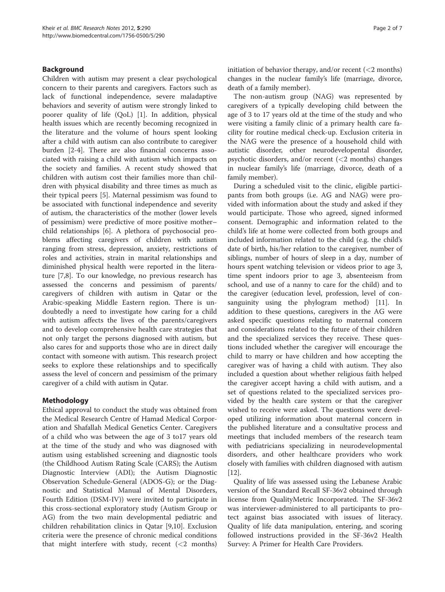# Background

Children with autism may present a clear psychological concern to their parents and caregivers. Factors such as lack of functional independence, severe maladaptive behaviors and severity of autism were strongly linked to poorer quality of life (QoL) [[1\]](#page-6-0). In addition, physical health issues which are recently becoming recognized in the literature and the volume of hours spent looking after a child with autism can also contribute to caregiver burden [[2](#page-6-0)-[4\]](#page-6-0). There are also financial concerns associated with raising a child with autism which impacts on the society and families. A recent study showed that children with autism cost their families more than children with physical disability and three times as much as their typical peers [[5\]](#page-6-0). Maternal pessimism was found to be associated with functional independence and severity of autism, the characteristics of the mother (lower levels of pessimism) were predictive of more positive mother– child relationships [[6\]](#page-6-0). A plethora of psychosocial problems affecting caregivers of children with autism ranging from stress, depression, anxiety, restrictions of roles and activities, strain in marital relationships and diminished physical health were reported in the literature [[7](#page-6-0),[8](#page-6-0)]. To our knowledge, no previous research has assessed the concerns and pessimism of parents/ caregivers of children with autism in Qatar or the Arabic-speaking Middle Eastern region. There is undoubtedly a need to investigate how caring for a child with autism affects the lives of the parents/caregivers and to develop comprehensive health care strategies that not only target the persons diagnosed with autism, but also cares for and supports those who are in direct daily contact with someone with autism. This research project seeks to explore these relationships and to specifically assess the level of concern and pessimism of the primary caregiver of a child with autism in Qatar.

# Methodology

Ethical approval to conduct the study was obtained from the Medical Research Centre of Hamad Medical Corporation and Shafallah Medical Genetics Center. Caregivers of a child who was between the age of 3 to17 years old at the time of the study and who was diagnosed with autism using established screening and diagnostic tools (the Childhood Autism Rating Scale (CARS); the Autism Diagnostic Interview (ADI); the Autism Diagnostic Observation Schedule-General (ADOS-G); or the Diagnostic and Statistical Manual of Mental Disorders, Fourth Edition (DSM-IV)) were invited to participate in this cross-sectional exploratory study (Autism Group or AG) from the two main developmental pediatric and children rehabilitation clinics in Qatar [[9,10\]](#page-6-0). Exclusion criteria were the presence of chronic medical conditions that might interfere with study, recent  $(< 2$  months)

initiation of behavior therapy, and/or recent  $\left( < 2 \text{ months} \right)$ changes in the nuclear family's life (marriage, divorce, death of a family member).

The non-autism group (NAG) was represented by caregivers of a typically developing child between the age of 3 to 17 years old at the time of the study and who were visiting a family clinic of a primary health care facility for routine medical check-up. Exclusion criteria in the NAG were the presence of a household child with autistic disorder, other neurodevelopental disorder, psychotic disorders, and/or recent (<2 months) changes in nuclear family's life (marriage, divorce, death of a family member).

During a scheduled visit to the clinic, eligible participants from both groups (i.e. AG and NAG) were provided with information about the study and asked if they would participate. Those who agreed, signed informed consent. Demographic and information related to the child's life at home were collected from both groups and included information related to the child (e.g. the child's date of birth, his/her relation to the caregiver, number of siblings, number of hours of sleep in a day, number of hours spent watching television or videos prior to age 3, time spent indoors prior to age 3, absenteeism from school, and use of a nanny to care for the child) and to the caregiver (education level, profession, level of consanguinity using the phylogram method) [\[11\]](#page-6-0). In addition to these questions, caregivers in the AG were asked specific questions relating to maternal concern and considerations related to the future of their children and the specialized services they receive. These questions included whether the caregiver will encourage the child to marry or have children and how accepting the caregiver was of having a child with autism. They also included a question about whether religious faith helped the caregiver accept having a child with autism, and a set of questions related to the specialized services provided by the health care system or that the caregiver wished to receive were asked. The questions were developed utilizing information about maternal concern in the published literature and a consultative process and meetings that included members of the research team with pediatricians specializing in neurodevelopmental disorders, and other healthcare providers who work closely with families with children diagnosed with autism [[12\]](#page-6-0).

Quality of life was assessed using the Lebanese Arabic version of the Standard Recall SF-36v2 obtained through license from QualityMetric Incorporated. The SF-36v2 was interviewer-administered to all participants to protect against bias associated with issues of literacy. Quality of life data manipulation, entering, and scoring followed instructions provided in the SF-36v2 Health Survey: A Primer for Health Care Providers.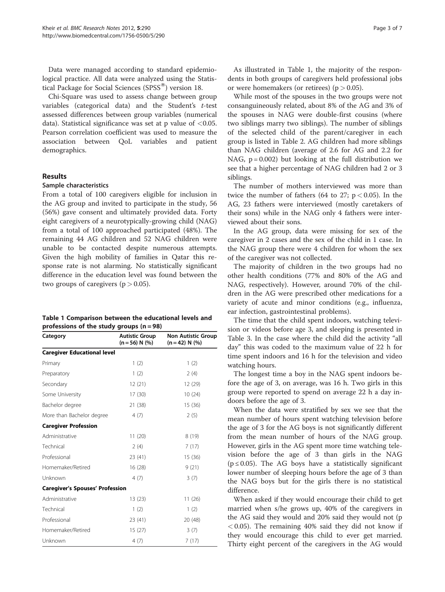Data were managed according to standard epidemiological practice. All data were analyzed using the Statistical Package for Social Sciences ( $S\overrightarrow{P}SS^{\circledast}$ ) version 18.

Chi-Square was used to assess change between group variables (categorical data) and the Student's t-test assessed differences between group variables (numerical data). Statistical significance was set at p value of  $\langle 0.05$ . Pearson correlation coefficient was used to measure the association between QoL variables and patient demographics.

# Results

# Sample characteristics

From a total of 100 caregivers eligible for inclusion in the AG group and invited to participate in the study, 56 (56%) gave consent and ultimately provided data. Forty eight caregivers of a neurotypically-growing child (NAG) from a total of 100 approached participated (48%). The remaining 44 AG children and 52 NAG children were unable to be contacted despite numerous attempts. Given the high mobility of families in Qatar this response rate is not alarming. No statistically significant difference in the education level was found between the two groups of caregivers ( $p > 0.05$ ).

| Table 1 Comparison between the educational levels and |  |  |  |  |  |
|-------------------------------------------------------|--|--|--|--|--|
| professions of the study groups $(n = 98)$            |  |  |  |  |  |

| Category                               | <b>Autistic Group</b><br>$(n = 56) N$ (%) | <b>Non Autistic Group</b><br>$(n = 42) N(96)$ |
|----------------------------------------|-------------------------------------------|-----------------------------------------------|
| <b>Caregiver Educational level</b>     |                                           |                                               |
| Primary                                | 1(2)                                      | 1(2)                                          |
| Preparatory                            | 1(2)                                      | 2(4)                                          |
| Secondary                              | 12(21)                                    | 12 (29)                                       |
| Some University                        | 17(30)                                    | 10(24)                                        |
| Bachelor degree                        | 21 (38)                                   | 15 (36)                                       |
| More than Bachelor degree              | 4(7)                                      | 2(5)                                          |
| <b>Caregiver Profession</b>            |                                           |                                               |
| Administrative                         | 11(20)                                    | 8(19)                                         |
| Technical                              | 2(4)                                      | 7(17)                                         |
| Professional                           | 23 (41)                                   | 15 (36)                                       |
| Homemaker/Retired                      | 16 (28)                                   | 9(21)                                         |
| Unknown                                | 4(7)                                      | 3(7)                                          |
| <b>Caregiver's Spouses' Profession</b> |                                           |                                               |
| Administrative                         | 13 (23)                                   | 11(26)                                        |
| Technical                              | 1(2)                                      | 1(2)                                          |
| Professional                           | 23 (41)                                   | 20 (48)                                       |
| Homemaker/Retired                      | 15 (27)                                   | 3(7)                                          |
| Unknown                                | 4(7)                                      | 7 (17)                                        |

As illustrated in Table 1, the majority of the respondents in both groups of caregivers held professional jobs or were homemakers (or retirees) ( $p > 0.05$ ).

While most of the spouses in the two groups were not consanguineously related, about 8% of the AG and 3% of the spouses in NAG were double-first cousins (where two siblings marry two siblings). The number of siblings of the selected child of the parent/caregiver in each group is listed in Table [2.](#page-3-0) AG children had more siblings than NAG children (average of 2.6 for AG and 2.2 for NAG,  $p = 0.002$ ) but looking at the full distribution we see that a higher percentage of NAG children had 2 or 3 siblings.

The number of mothers interviewed was more than twice the number of fathers (64 to 27;  $p < 0.05$ ). In the AG, 23 fathers were interviewed (mostly caretakers of their sons) while in the NAG only 4 fathers were interviewed about their sons.

In the AG group, data were missing for sex of the caregiver in 2 cases and the sex of the child in 1 case. In the NAG group there were 4 children for whom the sex of the caregiver was not collected.

The majority of children in the two groups had no other health conditions (77% and 80% of the AG and NAG, respectively). However, around 70% of the children in the AG were prescribed other medications for a variety of acute and minor conditions (e.g., influenza, ear infection, gastrointestinal problems).

The time that the child spent indoors, watching television or videos before age 3, and sleeping is presented in Table [3](#page-4-0). In the case where the child did the activity "all day" this was coded to the maximum value of 22 h for time spent indoors and 16 h for the television and video watching hours.

The longest time a boy in the NAG spent indoors before the age of 3, on average, was 16 h. Two girls in this group were reported to spend on average 22 h a day indoors before the age of 3.

When the data were stratified by sex we see that the mean number of hours spent watching television before the age of 3 for the AG boys is not significantly different from the mean number of hours of the NAG group. However, girls in the AG spent more time watching television before the age of 3 than girls in the NAG  $(p \le 0.05)$ . The AG boys have a statistically significant lower number of sleeping hours before the age of 3 than the NAG boys but for the girls there is no statistical difference.

When asked if they would encourage their child to get married when s/he grows up, 40% of the caregivers in the AG said they would and 20% said they would not (p  $< 0.05$ ). The remaining 40% said they did not know if they would encourage this child to ever get married. Thirty eight percent of the caregivers in the AG would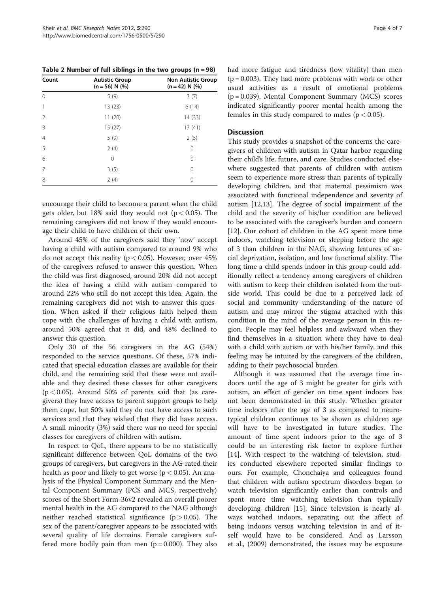<span id="page-3-0"></span>Table 2 Number of full siblings in the two groups ( $n = 98$ )

| Count          | <b>Autistic Group</b><br>$(n = 56) N$ (%) | <b>Non Autistic Group</b><br>$(n = 42) N (%)$ |  |
|----------------|-------------------------------------------|-----------------------------------------------|--|
| $\Omega$       | 5(9)                                      | 3(7)                                          |  |
| 1              | 13(23)                                    | 6(14)                                         |  |
| $\mathfrak{D}$ | 11(20)                                    | 14 (33)                                       |  |
| 3              | 15(27)                                    | 17(41)                                        |  |
| $\overline{4}$ | 5(9)                                      | 2(5)                                          |  |
| 5              | 2(4)                                      | 0                                             |  |
| 6              | $\Omega$                                  | 0                                             |  |
| 7              | 3(5)                                      | 0                                             |  |
| 8              | 2(4)                                      | 0                                             |  |

encourage their child to become a parent when the child gets older, but 18% said they would not ( $p < 0.05$ ). The remaining caregivers did not know if they would encourage their child to have children of their own.

Around 45% of the caregivers said they 'now' accept having a child with autism compared to around 9% who do not accept this reality ( $p < 0.05$ ). However, over 45% of the caregivers refused to answer this question. When the child was first diagnosed, around 20% did not accept the idea of having a child with autism compared to around 22% who still do not accept this idea. Again, the remaining caregivers did not wish to answer this question. When asked if their religious faith helped them cope with the challenges of having a child with autism, around 50% agreed that it did, and 48% declined to answer this question.

Only 30 of the 56 caregivers in the AG (54%) responded to the service questions. Of these, 57% indicated that special education classes are available for their child, and the remaining said that these were not available and they desired these classes for other caregivers ( $p < 0.05$ ). Around 50% of parents said that (as caregivers) they have access to parent support groups to help them cope, but 50% said they do not have access to such services and that they wished that they did have access. A small minority (3%) said there was no need for special classes for caregivers of children with autism.

In respect to QoL, there appears to be no statistically significant difference between QoL domains of the two groups of caregivers, but caregivers in the AG rated their health as poor and likely to get worse ( $p < 0.05$ ). An analysis of the Physical Component Summary and the Mental Component Summary (PCS and MCS, respectively) scores of the Short Form-36v2 revealed an overall poorer mental health in the AG compared to the NAG although neither reached statistical significance ( $p > 0.05$ ). The sex of the parent/caregiver appears to be associated with several quality of life domains. Female caregivers suffered more bodily pain than men  $(p = 0.000)$ . They also had more fatigue and tiredness (low vitality) than men  $(p = 0.003)$ . They had more problems with work or other usual activities as a result of emotional problems  $(p = 0.039)$ . Mental Component Summary (MCS) scores indicated significantly poorer mental health among the females in this study compared to males ( $p < 0.05$ ).

# **Discussion**

This study provides a snapshot of the concerns the caregivers of children with autism in Qatar harbor regarding their child's life, future, and care. Studies conducted elsewhere suggested that parents of children with autism seem to experience more stress than parents of typically developing children, and that maternal pessimism was associated with functional independence and severity of autism [[12,13](#page-6-0)]. The degree of social impairment of the child and the severity of his/her condition are believed to be associated with the caregiver's burden and concern [[12\]](#page-6-0). Our cohort of children in the AG spent more time indoors, watching television or sleeping before the age of 3 than children in the NAG, showing features of social deprivation, isolation, and low functional ability. The long time a child spends indoor in this group could additionally reflect a tendency among caregivers of children with autism to keep their children isolated from the outside world. This could be due to a perceived lack of social and community understanding of the nature of autism and may mirror the stigma attached with this condition in the mind of the average person in this region. People may feel helpless and awkward when they find themselves in a situation where they have to deal with a child with autism or with his/her family, and this feeling may be intuited by the caregivers of the children, adding to their psychosocial burden.

Although it was assumed that the average time indoors until the age of 3 might be greater for girls with autism, an effect of gender on time spent indoors has not been demonstrated in this study. Whether greater time indoors after the age of 3 as compared to neurotypical children continues to be shown as children age will have to be investigated in future studies. The amount of time spent indoors prior to the age of 3 could be an interesting risk factor to explore further [[14\]](#page-6-0). With respect to the watching of television, studies conducted elsewhere reported similar findings to ours. For example, Chonchaiya and colleagues found that children with autism spectrum disorders began to watch television significantly earlier than controls and spent more time watching television than typically developing children [[15\]](#page-6-0). Since television is nearly always watched indoors, separating out the affect of being indoors versus watching television in and of itself would have to be considered. And as Larsson et al., (2009) demonstrated, the issues may be exposure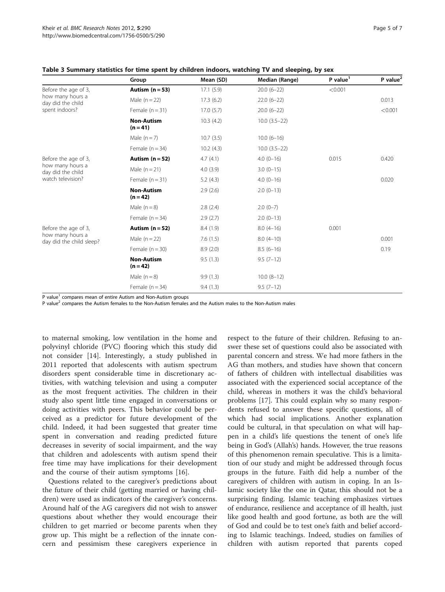|                                                                                    | Group                           | Mean (SD) | Median (Range)  | P value $1$ | P value <sup>2</sup> |
|------------------------------------------------------------------------------------|---------------------------------|-----------|-----------------|-------------|----------------------|
| Before the age of 3,<br>how many hours a<br>day did the child<br>spent indoors?    | Autism $(n=53)$                 | 17.1(5.9) | $20.0(6-22)$    | < 0.001     |                      |
|                                                                                    | Male $(n = 22)$                 | 17.3(6.2) | $22.0(6-22)$    |             | 0.013                |
|                                                                                    | Female $(n = 31)$               | 17.0(5.7) | $20.0(6-22)$    |             | < 0.001              |
|                                                                                    | <b>Non-Autism</b><br>$(n = 41)$ | 10.3(4.2) | $10.0(3.5-22)$  |             |                      |
|                                                                                    | Male $(n=7)$                    | 10.7(3.5) | $10.0 (6 - 16)$ |             |                      |
|                                                                                    | Female $(n = 34)$               | 10.2(4.3) | $10.0(3.5-22)$  |             |                      |
| Before the age of 3,<br>how many hours a<br>day did the child<br>watch television? | Autism $(n = 52)$               | 4.7(4.1)  | $4.0(0-16)$     | 0.015       | 0.420                |
|                                                                                    | Male $(n=21)$                   | 4.0(3.9)  | $3.0(0-15)$     |             |                      |
|                                                                                    | Female $(n = 31)$               | 5.2(4.3)  | $4.0(0-16)$     |             | 0.020                |
|                                                                                    | <b>Non-Autism</b><br>$(n = 42)$ | 2.9(2.6)  | $2.0(0-13)$     |             |                      |
|                                                                                    | Male $(n=8)$                    | 2.8(2.4)  | $2.0(0-7)$      |             |                      |
|                                                                                    | Female $(n = 34)$               | 2.9(2.7)  | $2.0(0-13)$     |             |                      |
| Before the age of 3,<br>how many hours a<br>day did the child sleep?               | Autism $(n = 52)$               | 8.4(1.9)  | $8.0(4-16)$     | 0.001       |                      |
|                                                                                    | Male $(n = 22)$                 | 7.6(1.5)  | $8.0(4-10)$     |             | 0.001                |
|                                                                                    | Female $(n = 30)$               | 8.9(2.0)  | $8.5(6-16)$     |             | 0.19                 |
|                                                                                    | <b>Non-Autism</b><br>$(n = 42)$ | 9.5(1.3)  | $9.5(7-12)$     |             |                      |
|                                                                                    | Male $(n=8)$                    | 9.9(1.3)  | $10.0 (8 - 12)$ |             |                      |
|                                                                                    | Female $(n = 34)$               | 9.4(1.3)  | $9.5(7-12)$     |             |                      |

# <span id="page-4-0"></span>Table 3 Summary statistics for time spent by children indoors, watching TV and sleeping, by sex

P value<sup>1</sup> compares mean of entire Autism and Non-Autism groups

P value<sup>2</sup> compares the Autism females to the Non-Autism females and the Autism males to the Non-Autism males

to maternal smoking, low ventilation in the home and polyvinyl chloride (PVC) flooring which this study did not consider [[14](#page-6-0)]. Interestingly, a study published in 2011 reported that adolescents with autism spectrum disorders spent considerable time in discretionary activities, with watching television and using a computer as the most frequent activities. The children in their study also spent little time engaged in conversations or doing activities with peers. This behavior could be perceived as a predictor for future development of the child. Indeed, it had been suggested that greater time spent in conversation and reading predicted future decreases in severity of social impairment, and the way that children and adolescents with autism spend their free time may have implications for their development and the course of their autism symptoms [\[16](#page-6-0)].

Questions related to the caregiver's predictions about the future of their child (getting married or having children) were used as indicators of the caregiver's concerns. Around half of the AG caregivers did not wish to answer questions about whether they would encourage their children to get married or become parents when they grow up. This might be a reflection of the innate concern and pessimism these caregivers experience in

respect to the future of their children. Refusing to answer these set of questions could also be associated with parental concern and stress. We had more fathers in the AG than mothers, and studies have shown that concern of fathers of children with intellectual disabilities was associated with the experienced social acceptance of the child, whereas in mothers it was the child's behavioral problems [[17](#page-6-0)]. This could explain why so many respondents refused to answer these specific questions, all of which had social implications. Another explanation could be cultural, in that speculation on what will happen in a child's life questions the tenent of one's life being in God's (Allah's) hands. However, the true reasons of this phenomenon remain speculative. This is a limitation of our study and might be addressed through focus groups in the future. Faith did help a number of the caregivers of children with autism in coping. In an Islamic society like the one in Qatar, this should not be a surprising finding. Islamic teaching emphasizes virtues of endurance, resilience and acceptance of ill health, just like good health and good fortune, as both are the will of God and could be to test one's faith and belief according to Islamic teachings. Indeed, studies on families of children with autism reported that parents coped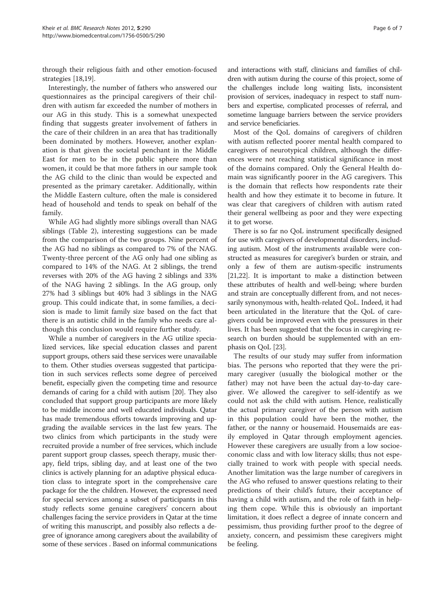through their religious faith and other emotion-focused strategies [[18,19\]](#page-6-0).

Interestingly, the number of fathers who answered our questionnaires as the principal caregivers of their children with autism far exceeded the number of mothers in our AG in this study. This is a somewhat unexpected finding that suggests greater involvement of fathers in the care of their children in an area that has traditionally been dominated by mothers. However, another explanation is that given the societal penchant in the Middle East for men to be in the public sphere more than women, it could be that more fathers in our sample took the AG child to the clinic than would be expected and presented as the primary caretaker. Additionally, within the Middle Eastern culture, often the male is considered head of household and tends to speak on behalf of the family.

While AG had slightly more siblings overall than NAG siblings (Table [2\)](#page-3-0), interesting suggestions can be made from the comparison of the two groups. Nine percent of the AG had no siblings as compared to 7% of the NAG. Twenty-three percent of the AG only had one sibling as compared to 14% of the NAG. At 2 siblings, the trend reverses with 20% of the AG having 2 siblings and 33% of the NAG having 2 siblings. In the AG group, only 27% had 3 siblings but 40% had 3 siblings in the NAG group. This could indicate that, in some families, a decision is made to limit family size based on the fact that there is an autistic child in the family who needs care although this conclusion would require further study.

While a number of caregivers in the AG utilize specialized services, like special education classes and parent support groups, others said these services were unavailable to them. Other studies overseas suggested that participation in such services reflects some degree of perceived benefit, especially given the competing time and resource demands of caring for a child with autism [[20](#page-6-0)]. They also concluded that support group participants are more likely to be middle income and well educated individuals. Qatar has made tremendous efforts towards improving and upgrading the available services in the last few years. The two clinics from which participants in the study were recruited provide a number of free services, which include parent support group classes, speech therapy, music therapy, field trips, sibling day, and at least one of the two clinics is actively planning for an adaptive physical education class to integrate sport in the comprehensive care package for the the children. However, the expressed need for special services among a subset of participants in this study reflects some genuine caregivers' concern about challenges facing the service providers in Qatar at the time of writing this manuscript, and possibly also reflects a degree of ignorance among caregivers about the availability of some of these services . Based on informal communications

and interactions with staff, clinicians and families of children with autism during the course of this project, some of the challenges include long waiting lists, inconsistent provision of services, inadequacy in respect to staff numbers and expertise, complicated processes of referral, and sometime language barriers between the service providers and service beneficiaries.

Most of the QoL domains of caregivers of children with autism reflected poorer mental health compared to caregivers of neurotypical children, although the differences were not reaching statistical significance in most of the domains compared. Only the General Health domain was significantly poorer in the AG caregivers. This is the domain that reflects how respondents rate their health and how they estimate it to become in future. It was clear that caregivers of children with autism rated their general wellbeing as poor and they were expecting it to get worse.

There is so far no QoL instrument specifically designed for use with caregivers of developmental disorders, including autism. Most of the instruments available were constructed as measures for caregiver's burden or strain, and only a few of them are autism-specific instruments [[21,22](#page-6-0)]. It is important to make a distinction between these attributes of health and well-being; where burden and strain are conceptually different from, and not necessarily synonymous with, health-related QoL. Indeed, it had been articulated in the literature that the QoL of caregivers could be improved even with the pressures in their lives. It has been suggested that the focus in caregiving research on burden should be supplemented with an emphasis on QoL [[23](#page-6-0)].

The results of our study may suffer from information bias. The persons who reported that they were the primary caregiver (usually the biological mother or the father) may not have been the actual day-to-day caregiver. We allowed the caregiver to self-identify as we could not ask the child with autism. Hence, realistically the actual primary caregiver of the person with autism in this population could have been the mother, the father, or the nanny or housemaid. Housemaids are easily employed in Qatar through employment agencies. However these caregivers are usually from a low socioeconomic class and with low literacy skills; thus not especially trained to work with people with special needs. Another limitation was the large number of caregivers in the AG who refused to answer questions relating to their predictions of their child's future, their acceptance of having a child with autism, and the role of faith in helping them cope. While this is obviously an important limitation, it does reflect a degree of innate concern and pessimism, thus providing further proof to the degree of anxiety, concern, and pessimism these caregivers might be feeling.